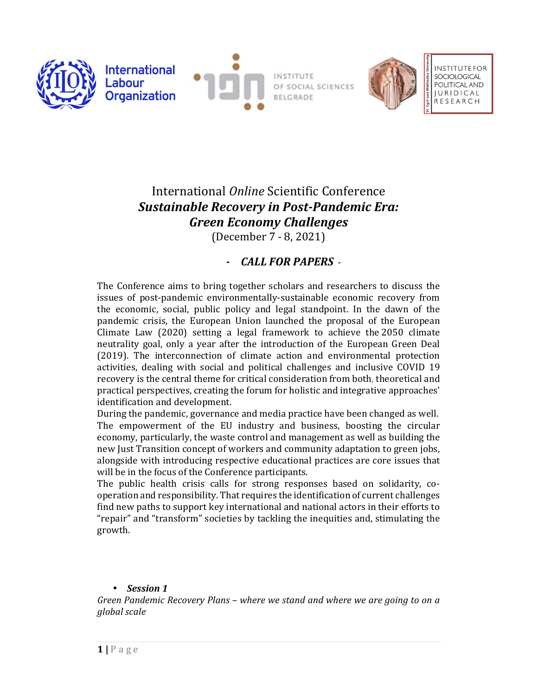



OF SOCIAL SCIENCES **BELGRADE** 



**INSTITUTE FOR** POLITICAL AND **IURIDICAL RESEARCH** 

# International *Online* Scientific Conference *Sustainable Recovery in Post-Pandemic Era: Green Economy Challenges*

(December 7 - 8, 2021)

# *- CALL FOR PAPERS* -

The Conference aims to bring together scholars and researchers to discuss the issues of post-pandemic environmentally-sustainable economic recovery from the economic, social, public policy and legal standpoint. In the dawn of the pandemic crisis, the European Union launched the proposal of the European Climate Law (2020) setting a legal framework to achieve the 2050 climate neutrality goal, only a year after the introduction of the European Green Deal (2019). The interconnection of climate action and environmental protection activities, dealing with social and political challenges and inclusive COVID 19 recovery is the central theme for critical consideration from both, theoretical and practical perspectives, creating the forum for holistic and integrative approaches' identification and development.

During the pandemic, governance and media practice have been changed as well. The empowerment of the EU industry and business, boosting the circular economy, particularly, the waste control and management as well as building the new Just Transition concept of workers and community adaptation to green jobs, alongside with introducing respective educational practices are core issues that will be in the focus of the Conference participants.

The public health crisis calls for strong responses based on solidarity, cooperation and responsibility. That requires the identification of current challenges find new paths to support key international and national actors in their efforts to "repair" and "transform" societies by tackling the inequities and, stimulating the growth.

# • *Session 1*

*Green Pandemic Recovery Plans – where we stand and where we are going to on a global scale*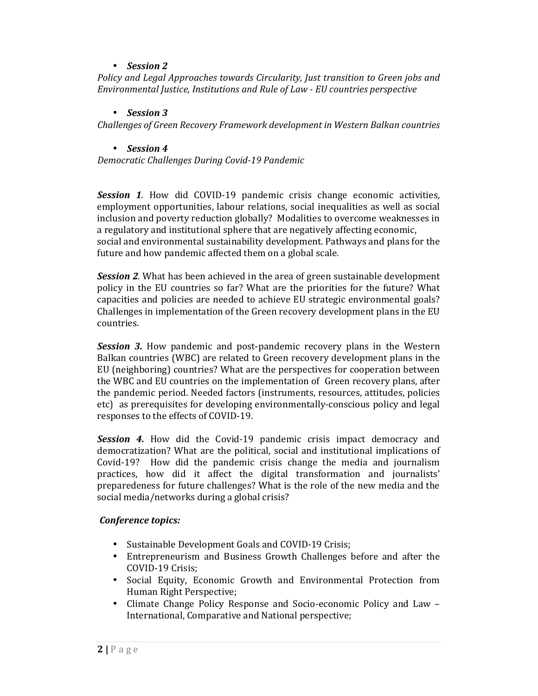# • *Session 2*

*Policy and Legal Approaches towards Circularity, Just transition to Green jobs and Environmental Justice, Institutions and Rule of Law - EU countries perspective* 

### • *Session 3*

*Challenges of Green Recovery Framework development in Western Balkan countries* 

### • *Session 4*

*Democratic Challenges During Covid-19 Pandemic* 

*Session 1.* How did COVID-19 pandemic crisis change economic activities, employment opportunities, labour relations, social inequalities as well as social inclusion and poverty reduction globally? Modalities to overcome weaknesses in a regulatory and institutional sphere that are negatively affecting economic, social and environmental sustainability development. Pathways and plans for the future and how pandemic affected them on a global scale.

*Session 2.* What has been achieved in the area of green sustainable development policy in the EU countries so far? What are the priorities for the future? What capacities and policies are needed to achieve EU strategic environmental goals? Challenges in implementation of the Green recovery development plans in the EU countries.

*Session 3.* How pandemic and post-pandemic recovery plans in the Western Balkan countries (WBC) are related to Green recovery development plans in the EU (neighboring) countries? What are the perspectives for cooperation between the WBC and EU countries on the implementation of Green recovery plans, after the pandemic period. Needed factors (instruments, resources, attitudes, policies etc) as prerequisites for developing environmentally-conscious policy and legal responses to the effects of COVID-19.

*Session 4.* How did the Covid-19 pandemic crisis impact democracy and democratization? What are the political, social and institutional implications of Covid-19? How did the pandemic crisis change the media and journalism practices, how did it affect the digital transformation and journalists' preparedeness for future challenges? What is the role of the new media and the social media/networks during a global crisis?

# *Conference topics:*

- Sustainable Development Goals and COVID-19 Crisis;
- Entrepreneurism and Business Growth Challenges before and after the COVID-19 Crisis;
- Social Equity, Economic Growth and Environmental Protection from Human Right Perspective;
- Climate Change Policy Response and Socio-economic Policy and Law International, Comparative and National perspective;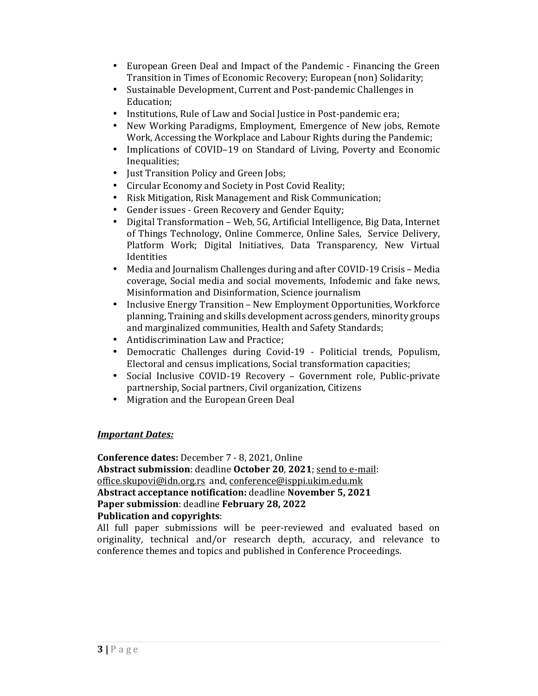- European Green Deal and Impact of the Pandemic Financing the Green Transition in Times of Economic Recovery; European (non) Solidarity;
- Sustainable Development, Current and Post-pandemic Challenges in Education;
- Institutions, Rule of Law and Social Justice in Post-pandemic era;
- New Working Paradigms, Employment, Emergence of New jobs, Remote Work, Accessing the Workplace and Labour Rights during the Pandemic;
- Implications of COVID–19 on Standard of Living, Poverty and Economic Inequalities;
- Just Transition Policy and Green Jobs;
- Circular Economy and Society in Post Covid Reality;
- Risk Mitigation, Risk Management and Risk Communication;
- Gender issues Green Recovery and Gender Equity;
- Digital Transformation Web, 5G, Artificial Intelligence, Big Data, Internet of Things Technology, Online Commerce, Online Sales, Service Delivery, Platform Work; Digital Initiatives, Data Transparency, New Virtual Identities
- Media and Journalism Challenges during and after COVID-19 Crisis Media coverage, Social media and social movements, Infodemic and fake news, Misinformation and Disinformation, Science journalism
- Inclusive Energy Transition New Employment Opportunities, Workforce planning, Training and skills development across genders, minority groups and marginalized communities, Health and Safety Standards;
- Antidiscrimination Law and Practice;
- Democratic Challenges during Covid-19 Politicial trends, Populism, Electoral and census implications, Social transformation capacities;
- Social Inclusive COVID-19 Recovery Government role, Public-private partnership, Social partners, Civil organization, Citizens
- Migration and the European Green Deal

# *Important Dates:*

**Conference dates:** December 7 - 8, 2021, Online **Abstract submission**: deadline **October 20**, **2021**; send to e-mail: office.skupovi@idn.org.rs and, conference@isppi.ukim.edu.mk **Abstract acceptance notification:** deadline **November 5, 2021 Paper submission**: deadline **February 28, 2022 Publication and copyrights**:

All full paper submissions will be peer-reviewed and evaluated based on originality, technical and/or research depth, accuracy, and relevance to conference themes and topics and published in Conference Proceedings.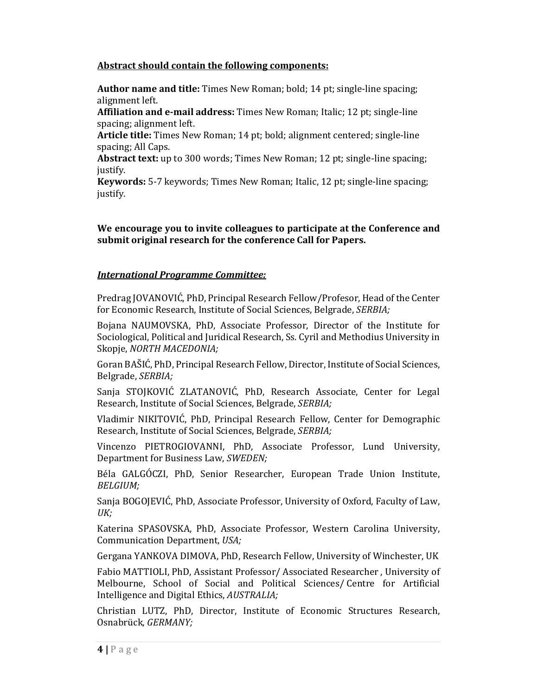# **Abstract should contain the following components:**

**Author name and title:** Times New Roman; bold; 14 pt; single-line spacing; alignment left.

**Affiliation and e-mail address:** Times New Roman; Italic; 12 pt; single-line spacing; alignment left.

**Article title:** Times New Roman; 14 pt; bold; alignment centered; single-line spacing; All Caps.

**Abstract text:** up to 300 words; Times New Roman; 12 pt; single-line spacing; justify.

**Keywords:** 5-7 keywords; Times New Roman; Italic, 12 pt; single-line spacing; justify.

**We encourage you to invite colleagues to participate at the Conference and submit original research for the conference Call for Papers.** 

### *International Programme Committee:*

Predrag JOVANOVIĆ, PhD, Principal Research Fellow/Profesor, Head of the Center for Economic Research, Institute of Social Sciences, Belgrade, *SERBIA;* 

Bojana NAUMOVSKA, PhD, Associate Professor, Director of the Institute for Sociological, Political and Juridical Research, Ss. Cyril and Methodius University in Skopje, *NORTH MACEDONIA;*

Goran BAŠIĆ, PhD, Principal Research Fellow, Director, Institute of Social Sciences, Belgrade, *SERBIA;* 

Sanja STOJKOVIĆ ZLATANOVIĆ, PhD, Research Associate, Center for Legal Research, Institute of Social Sciences, Belgrade, *SERBIA;* 

Vladimir NIKITOVIĆ, PhD, Principal Research Fellow, Center for Demographic Research, Institute of Social Sciences, Belgrade, *SERBIA;* 

Vincenzo PIETROGIOVANNI, PhD, Associate Professor, Lund University, Department for Business Law, *SWEDEN;* 

Béla GALGÓCZI, PhD, Senior Researcher, European Trade Union Institute, *BELGIUM;* 

Sanja BOGOJEVIĆ, PhD, Associate Professor, University of Oxford, Faculty of Law, *UK;*

Katerina SPASOVSKA, PhD, Associate Professor, Western Carolina University, Communication Department, *USA;* 

Gergana YANKOVA DIMOVA, PhD, Research Fellow, University of Winchester, UK

Fabio MATTIOLI, PhD, Assistant Professor/ Associated Researcher , University of Melbourne, School of Social and Political Sciences/ Centre for Artificial Intelligence and Digital Ethics, *AUSTRALIA;*

Christian LUTZ, PhD, Director, Institute of Economic Structures Research, Osnabrück, *GERMANY;*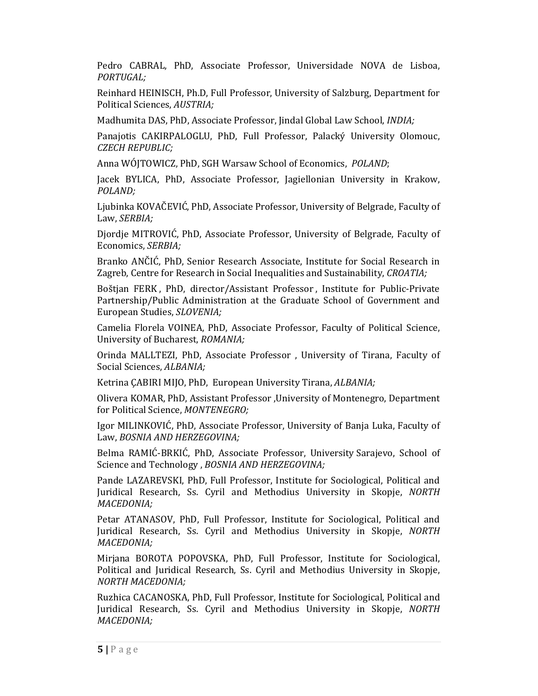Pedro CABRAL, PhD, Associate Professor, Universidade NOVA de Lisboa, *PORTUGAL;*

Reinhard HEINISCH, Ph.D, Full Professor, University of Salzburg, Department for Political Sciences, *AUSTRIA;*

Madhumita DAS, PhD, Associate Professor, Jindal Global Law School, *INDIA;*

Panajotis CAKIRPALOGLU, PhD, Full Professor, Palacký University Olomouc, *CZECH REPUBLIC;*

Anna WÓJTOWICZ, PhD, SGH Warsaw School of Economics, *POLAND*;

Jacek BYLICA, PhD, Associate Professor, Jagiellonian University in Krakow, *POLAND;* 

Ljubinka KOVAČEVIĆ, PhD, Associate Professor, University of Belgrade, Faculty of Law, *SERBIA;*

Djordje MITROVIĆ, PhD, Associate Professor, University of Belgrade, Faculty of Economics, *SERBIA;*

Branko ANČIĆ, PhD, Senior Research Associate, Institute for Social Research in Zagreb, Centre for Research in Social Inequalities and Sustainability, *CROATIA;* 

Boštjan FERK , PhD, director/Assistant Professor , Institute for Public-Private Partnership/Public Administration at the Graduate School of Government and European Studies, *SLOVENIA;*

Camelia Florela VOINEA, PhD, Associate Professor, Faculty of Political Science, University of Bucharest, *ROMANIA;*

Orinda MALLTEZI, PhD, Associate Professor , University of Tirana, Faculty of Social Sciences, *ALBANIA;*

Ketrina ÇABIRI MIJO, PhD, European University Tirana, *ALBANIA;*

Olivera KOMAR, PhD, Assistant Professor ,University of Montenegro, Department for Political Science, *MONTENEGRO;* 

Igor MILINKOVIĆ, PhD, Associate Professor, University of Banja Luka, Faculty of Law, *BOSNIA AND HERZEGOVINA;*

Belma RAMIĆ-BRKIĆ, PhD, Associate Professor, University Sarajevo, School of Science and Technology , *BOSNIA AND HERZEGOVINA;* 

Pande LAZAREVSKI, PhD, Full Professor, Institute for Sociological, Political and Juridical Research, Ss. Cyril and Methodius University in Skopje, *NORTH MACEDONIA;*

Petar ATANASOV, PhD, Full Professor, Institute for Sociological, Political and Juridical Research, Ss. Cyril and Methodius University in Skopje, *NORTH MACEDONIA;*

Mirjana BOROTA POPOVSKA, PhD, Full Professor, Institute for Sociological, Political and Juridical Research, Ss. Cyril and Methodius University in Skopje, *NORTH MACEDONIA;*

Ruzhica CACANOSKA, PhD, Full Professor, Institute for Sociological, Political and Juridical Research, Ss. Cyril and Methodius University in Skopje, *NORTH MACEDONIA;*